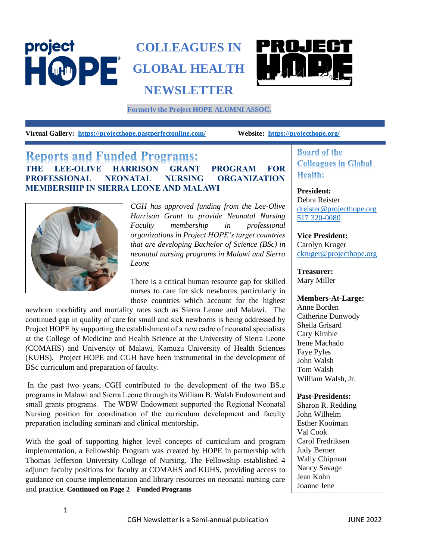## project **COLLEAGUES IN** HOPE **GLOBAL HEALTH NEWSLETTER**



**Formerly the Project HOPE ALUMNI ASSOC.**

**Virtual Gallery: <https://projecthope.pastperfectonline.com/>Website: <https://projecthope.org/>**

## **Reports and Funded Programs: THE LEE-OLIVE HARRISON GRANT PROGRAM FOR PROFESSIONAL NEONATAL NURSING ORGANIZATION MEMBERSHIP IN SIERRA LEONE AND MALAWI**



*CGH has approved funding from the Lee-Olive Harrison Grant to provide Neonatal Nursing Faculty membership in professional organizations in Project HOPE's target countries that are developing Bachelor of Science (BSc) in neonatal nursing programs in Malawi and Sierra Leone* 

There is a critical human resource gap for skilled nurses to care for sick newborns particularly in those countries which account for the highest

newborn morbidity and mortality rates such as Sierra Leone and Malawi. The continued gap in quality of care for small and sick newborns is being addressed by Project HOPE by supporting the establishment of a new cadre of neonatal specialists at the College of Medicine and Health Science at the University of Sierra Leone (COMAHS) and University of Malawi, Kamuzu University of Health Sciences (KUHS). Project HOPE and CGH have been instrumental in the development of BSc curriculum and preparation of faculty.

In the past two years, CGH contributed to the development of the two BS.c programs in Malawi and Sierra Leone through its William B. Walsh Endowment and small grants programs. The WBW Endowment supported the Regional Neonatal Nursing position for coordination of the curriculum development and faculty preparation including seminars and clinical mentorship**.** 

With the goal of supporting higher level concepts of curriculum and program implementation, a Fellowship Program was created by HOPE in partnership with Thomas Jefferson University College of Nursing. The Fellowship established 4 adjunct faculty positions for faculty at COMAHS and KUHS, providing access to guidance on course implementation and library resources on neonatal nursing care and practice. **Continued on Page 2 – Funded Programs**

**Board of the Colleagues in Global Health:** 

**President:** Debra Reister [dreister@projecthope.org](mailto:dreister@projecthope.org) 517 320-0080

**Vice President:** Carolyn Kruger [ckruger@projecthope.org](mailto:ckruger@projecthope.org)

**Treasurer:** Mary Miller

### **Members-At-Large:**

Anne Borden Catherine Dunwody Sheila Grisard Cary Kimble Irene Machado Faye Pyles John Walsh Tom Walsh William Walsh, Jr.

### **Past-Presidents:**

Sharon R. Redding John Wilhelm Esther Kooiman Val Cook Carol Fredriksen Judy Berner Wally Chipman Nancy Savage Jean Kohn Joanne Jene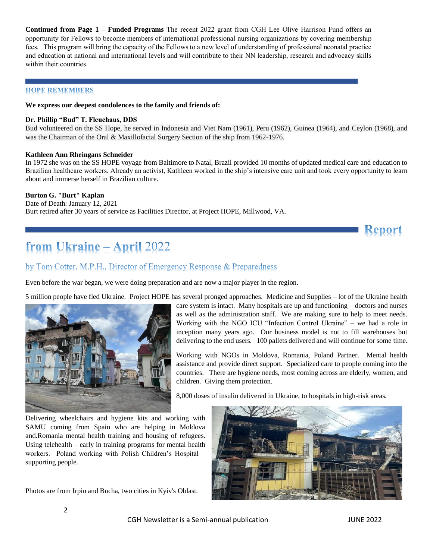**Continued from Page 1 – Funded Programs** The recent 2022 grant from CGH Lee Olive Harrison Fund offers an opportunity for Fellows to become members of international professional nursing organizations by covering membership fees. This program will bring the capacity of the Fellows to a new level of understanding of professional neonatal practice and education at national and international levels and will contribute to their NN leadership, research and advocacy skills within their countries.

### **HOPE REMEMBERS**

#### **We express our deepest condolences to the family and friends of:**

#### **Dr. Phillip "Bud" T. Fleuchaus, DDS**

Bud volunteered on the SS Hope, he served in Indonesia and Viet Nam (1961), Peru (1962), Guinea (1964), and Ceylon (1968), and was the Chairman of the Oral & Maxillofacial Surgery Section of the ship from 1962-1976.

#### **Kathleen Ann Rheingans Schneider**

In 1972 she was on the SS HOPE voyage from Baltimore to Natal, Brazil provided 10 months of updated medical care and education to Brazilian healthcare workers. Already an activist, Kathleen worked in the ship's intensive care unit and took every opportunity to learn about and immerse herself in Brazilian culture.

### **Burton G. "Burt" Kaplan**

Date of Death: January 12, 2021 Burt retired after 30 years of service as Facilities Director, at Project HOPE, Millwood, VA.

# from Ukraine - April 2022

## by Tom Cotter, M.P.H., Director of Emergency Response & Preparedness

Even before the war began, we were doing preparation and are now a major player in the region.

5 million people have fled Ukraine. Project HOPE has several pronged approaches. Medicine and Supplies – lot of the Ukraine health



care system is intact. Many hospitals are up and functioning – doctors and nurses as well as the administration staff. We are making sure to help to meet needs. Working with the NGO ICU "Infection Control Ukraine" – we had a role in inception many years ago. Our business model is not to fill warehouses but delivering to the end users. 100 pallets delivered and will continue for some time.

Working with NGOs in Moldova, Romania, Poland Partner. Mental health assistance and provide direct support. Specialized care to people coming into the countries. There are hygiene needs, most coming across are elderly, women, and children. Giving them protection.

8,000 doses of insulin delivered in Ukraine, to hospitals in high-risk areas.

Delivering wheelchairs and hygiene kits and working with SAMU coming from Spain who are helping in Moldova and.Romania mental health training and housing of refugees. Using telehealth – early in training programs for mental health workers. Poland working with Polish Children's Hospital – supporting people.

Photos are from Irpin and Bucha, two cities in Kyiv's Oblast.



**Report**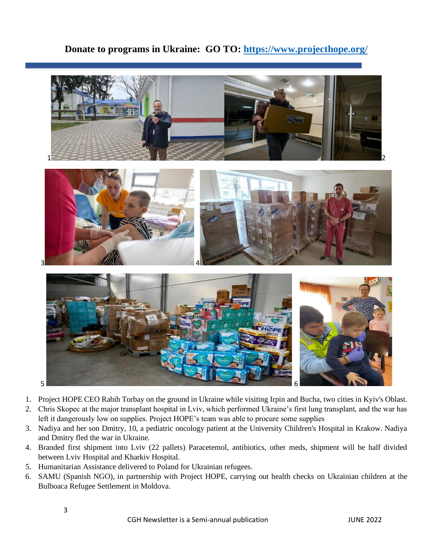## **Donate to programs in Ukraine: GO TO:<https://www.projecthope.org/>**



- 1. Project HOPE CEO Rabih Torbay on the ground in Ukraine while visiting Irpin and Bucha, two cities in Kyiv's Oblast.
- 2. Chris Skopec at the major transplant hospital in Lviv, which performed Ukraine's first lung transplant, and the war has left it dangerously low on supplies. Project HOPE's team was able to procure some supplies
- 3. Nadiya and her son Dmitry, 10, a pediatric oncology patient at the University Children's Hospital in Krakow. Nadiya and Dmitry fled the war in Ukraine.
- 4. Branded first shipment into Lviv (22 pallets) Paracetemol, antibiotics, other meds, shipment will be half divided between Lviv Hospital and Kharkiv Hospital.
- 5. Humanitarian Assistance delivered to Poland for Ukrainian refugees.
- 6. SAMU (Spanish NGO), in partnership with Project HOPE, carrying out health checks on Ukrainian children at the Bulboaca Refugee Settlement in Moldova.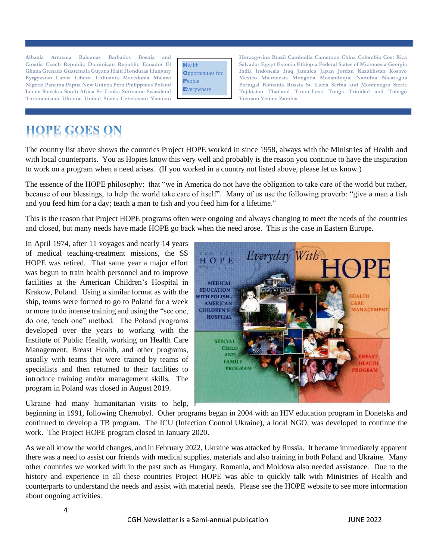**Turkmenistan Ukraine United States Uzbekistan Vanuatu Vietnam Yemen Zambia**

| Health                   |
|--------------------------|
| <b>Opportunities for</b> |
| People                   |
| <b>Everywhere</b>        |

**Albania Armenia Bahamas Barbados Bosnia and Herzegovina Brazil Cambodia Cameroon China Colombia Cost Rica Croatia Czech Republic Dominican Republic Ecuador El Salvador Egypt Estonia Ethiopia Federal States of Micronesia Georgia**  Ghana Grenada Guatemala Guyana Haiti Honduras Hungary **Indonesia India Indonesia Iraq Jamaica Japan Jordan Kazakhstan Kosovo** Kyrgyzstan Latvia Liberia Lithuania Macedonia Malawi **Mexico Micronesia Mongolia Mozambique Namibia Nicaragua Nigeria Panama Papua New Guinea Peru Philippines Poland Portugal Romania Russia St. Lucia Serbia and Montenegro Sierra**  Leone Slovakia South Africa Sri Lanka Suriname Swaziland **EVeryWhere** Tajikistan Thailand Timor-Lesti Tonga Trinidad and Tobago

# **HOPE GOES ON**

The country list above shows the countries Project HOPE worked in since 1958, always with the Ministries of Health and with local counterparts. You as Hopies know this very well and probably is the reason you continue to have the inspiration to work on a program when a need arises. (If you worked in a country not listed above, please let us know.)

The essence of the HOPE philosophy: that "we in America do not have the obligation to take care of the world but rather, because of our blessings, to help the world take care of itself". Many of us use the following proverb: "give a man a fish and you feed him for a day; teach a man to fish and you feed him for a lifetime."

This is the reason that Project HOPE programs often were ongoing and always changing to meet the needs of the countries and closed, but many needs have made HOPE go back when the need arose. This is the case in Eastern Europe.

In April 1974, after 11 voyages and nearly 14 years of medical teaching-treatment missions, the SS HOPE was retired. That same year a major effort was begun to train health personnel and to improve facilities at the American Children's Hospital in Krakow, Poland. Using a similar format as with the ship, teams were formed to go to Poland for a week or more to do intense training and using the "see one, do one, teach one" method. The Poland programs developed over the years to working with the Institute of Public Health, working on Health Care Management, Breast Health, and other programs, usually with teams that were trained by teams of specialists and then returned to their facilities to introduce training and/or management skills. The program in Poland was closed in August 2019.

Ukraine had many humanitarian visits to help,



beginning in 1991, following Chernobyl. Other programs began in 2004 with an HIV education program in Donetska and continued to develop a TB program. The ICU (Infection Control Ukraine), a local NGO, was developed to continue the work. The Project HOPE program closed in January 2020.

As we all know the world changes, and in February 2022, Ukraine was attacked by Russia. It became immediately apparent there was a need to assist our friends with medical supplies, materials and also training in both Poland and Ukraine. Many other countries we worked with in the past such as Hungary, Romania, and Moldova also needed assistance. Due to the history and experience in all these countries Project HOPE was able to quickly talk with Ministries of Health and counterparts to understand the needs and assist with material needs. Please see the HOPE website to see more information about ongoing activities.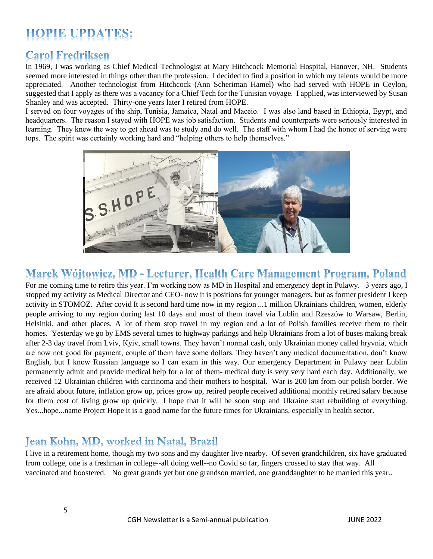# **HOPIE UPDATES:**

# **Carol Fredriksen**

In 1969, I was working as Chief Medical Technologist at Mary Hitchcock Memorial Hospital, Hanover, NH. Students seemed more interested in things other than the profession. I decided to find a position in which my talents would be more appreciated. Another technologist from Hitchcock (Ann Scheriman Hamel) who had served with HOPE in Ceylon, suggested that I apply as there was a vacancy for a Chief Tech for the Tunisian voyage. I applied, was interviewed by Susan Shanley and was accepted. Thirty-one years later I retired from HOPE.

I served on four voyages of the ship, Tunisia, Jamaica, Natal and Maceio. I was also land based in Ethiopia, Egypt, and headquarters. The reason I stayed with HOPE was job satisfaction. Students and counterparts were seriously interested in learning. They knew the way to get ahead was to study and do well. The staff with whom I had the honor of serving were tops. The spirit was certainly working hard and "helping others to help themselves."



# Marek Wójtowicz, MD - Lecturer, Health Care Management Program, Poland

For me coming time to retire this year. I'm working now as MD in Hospital and emergency dept in Pulawy. 3 years ago, I stopped my activity as Medical Director and CEO- now it is positions for younger managers, but as former president I keep activity in STOMOZ. After covid It is second hard time now in my region ...1 million Ukrainians children, women, elderly people arriving to my region during last 10 days and most of them travel via Lublin and Rzeszów to Warsaw, Berlin, Helsinki, and other places. A lot of them stop travel in my region and a lot of Polish families receive them to their homes. Yesterday we go by EMS several times to highway parkings and help Ukrainians from a lot of buses making break after 2-3 day travel from Lviv, Kyiv, small towns. They haven't normal cash, only Ukrainian money called hryvnia, which are now not good for payment, couple of them have some dollars. They haven't any medical documentation, don't know English, but I know Russian language so I can exam in this way. Our emergency Department in Pulawy near Lublin permanently admit and provide medical help for a lot of them- medical duty is very very hard each day. Additionally, we received 12 Ukrainian children with carcinoma and their mothers to hospital. War is 200 km from our polish border. We are afraid about future, inflation grow up, prices grow up, retired people received additional monthly retired salary because for them cost of living grow up quickly. I hope that it will be soon stop and Ukraine start rebuilding of everything. Yes...hope...name Project Hope it is a good name for the future times for Ukrainians, especially in health sector.

# Jean Kohn, MD, worked in Natal, Brazil

I live in a retirement home, though my two sons and my daughter live nearby. Of seven grandchildren, six have graduated from college, one is a freshman in college--all doing well--no Covid so far, fingers crossed to stay that way. All vaccinated and boostered. No great grands yet but one grandson married, one granddaughter to be married this year..